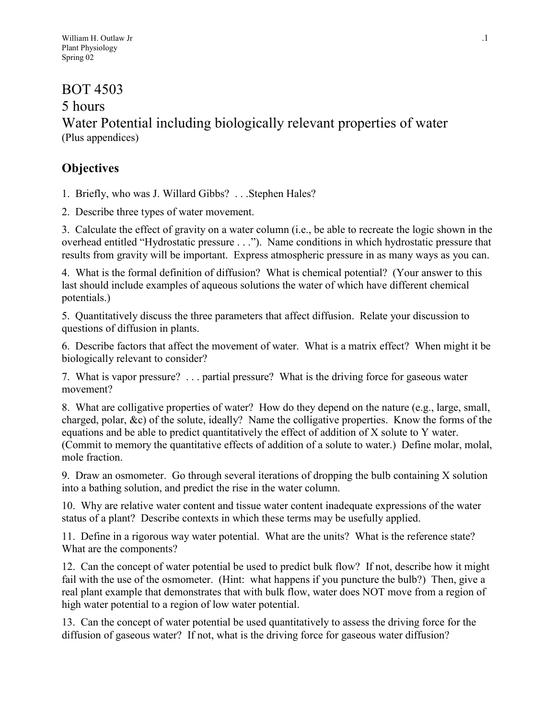# BOT 4503

5 hours

Water Potential including biologically relevant properties of water (Plus appendices)

# **Objectives**

1. Briefly, who was J. Willard Gibbs? . . .Stephen Hales?

2. Describe three types of water movement.

3. Calculate the effect of gravity on a water column (i.e., be able to recreate the logic shown in the overhead entitled "Hydrostatic pressure . . ."). Name conditions in which hydrostatic pressure that results from gravity will be important. Express atmospheric pressure in as many ways as you can.

4. What is the formal definition of diffusion? What is chemical potential? (Your answer to this last should include examples of aqueous solutions the water of which have different chemical potentials.)

5. Quantitatively discuss the three parameters that affect diffusion. Relate your discussion to questions of diffusion in plants.

6. Describe factors that affect the movement of water. What is a matrix effect? When might it be biologically relevant to consider?

7. What is vapor pressure? . . . partial pressure? What is the driving force for gaseous water movement?

8. What are colligative properties of water? How do they depend on the nature (e.g., large, small, charged, polar, &c) of the solute, ideally? Name the colligative properties. Know the forms of the equations and be able to predict quantitatively the effect of addition of X solute to Y water. (Commit to memory the quantitative effects of addition of a solute to water.) Define molar, molal, mole fraction.

9. Draw an osmometer. Go through several iterations of dropping the bulb containing X solution into a bathing solution, and predict the rise in the water column.

10. Why are relative water content and tissue water content inadequate expressions of the water status of a plant? Describe contexts in which these terms may be usefully applied.

11. Define in a rigorous way water potential. What are the units? What is the reference state? What are the components?

12. Can the concept of water potential be used to predict bulk flow? If not, describe how it might fail with the use of the osmometer. (Hint: what happens if you puncture the bulb?) Then, give a real plant example that demonstrates that with bulk flow, water does NOT move from a region of high water potential to a region of low water potential.

13. Can the concept of water potential be used quantitatively to assess the driving force for the diffusion of gaseous water? If not, what is the driving force for gaseous water diffusion?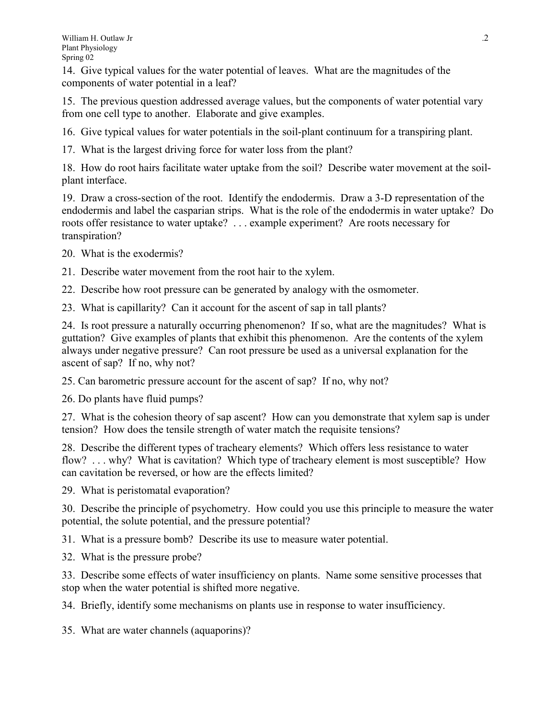14. Give typical values for the water potential of leaves. What are the magnitudes of the components of water potential in a leaf?

15. The previous question addressed average values, but the components of water potential vary from one cell type to another. Elaborate and give examples.

16. Give typical values for water potentials in the soil-plant continuum for a transpiring plant.

17. What is the largest driving force for water loss from the plant?

18. How do root hairs facilitate water uptake from the soil? Describe water movement at the soilplant interface.

19. Draw a cross-section of the root. Identify the endodermis. Draw a 3-D representation of the endodermis and label the casparian strips. What is the role of the endodermis in water uptake? Do roots offer resistance to water uptake? . . . example experiment? Are roots necessary for transpiration?

20. What is the exodermis?

21. Describe water movement from the root hair to the xylem.

22. Describe how root pressure can be generated by analogy with the osmometer.

23. What is capillarity? Can it account for the ascent of sap in tall plants?

24. Is root pressure a naturally occurring phenomenon? If so, what are the magnitudes? What is guttation? Give examples of plants that exhibit this phenomenon. Are the contents of the xylem always under negative pressure? Can root pressure be used as a universal explanation for the ascent of sap? If no, why not?

25. Can barometric pressure account for the ascent of sap? If no, why not?

26. Do plants have fluid pumps?

27. What is the cohesion theory of sap ascent? How can you demonstrate that xylem sap is under tension? How does the tensile strength of water match the requisite tensions?

28. Describe the different types of tracheary elements? Which offers less resistance to water flow? . . . why? What is cavitation? Which type of tracheary element is most susceptible? How can cavitation be reversed, or how are the effects limited?

29. What is peristomatal evaporation?

30. Describe the principle of psychometry. How could you use this principle to measure the water potential, the solute potential, and the pressure potential?

31. What is a pressure bomb? Describe its use to measure water potential.

32. What is the pressure probe?

33. Describe some effects of water insufficiency on plants. Name some sensitive processes that stop when the water potential is shifted more negative.

34. Briefly, identify some mechanisms on plants use in response to water insufficiency.

35. What are water channels (aquaporins)?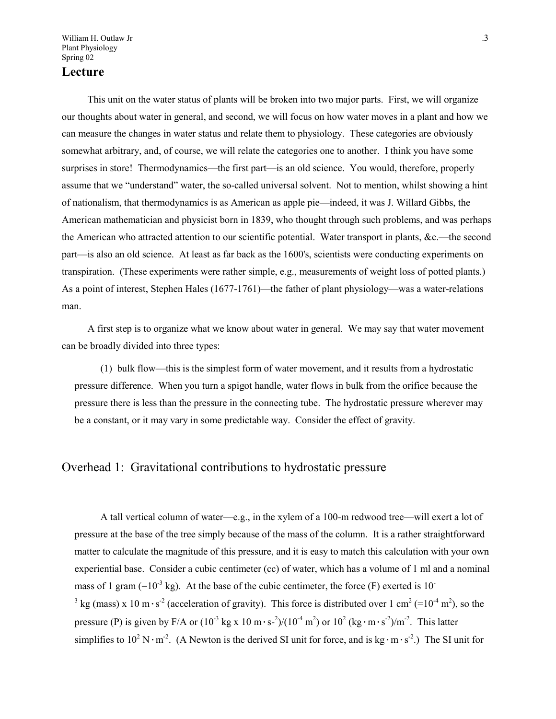William H. Outlaw Jr ...  $\frac{3}{2}$ Plant Physiology Spring 02

# **Lecture**

This unit on the water status of plants will be broken into two major parts. First, we will organize our thoughts about water in general, and second, we will focus on how water moves in a plant and how we can measure the changes in water status and relate them to physiology. These categories are obviously somewhat arbitrary, and, of course, we will relate the categories one to another. I think you have some surprises in store! Thermodynamics—the first part—is an old science. You would, therefore, properly assume that we "understand" water, the so-called universal solvent. Not to mention, whilst showing a hint of nationalism, that thermodynamics is as American as apple pie—indeed, it was J. Willard Gibbs, the American mathematician and physicist born in 1839, who thought through such problems, and was perhaps the American who attracted attention to our scientific potential. Water transport in plants, &c.—the second part—is also an old science. At least as far back as the 1600's, scientists were conducting experiments on transpiration. (These experiments were rather simple, e.g., measurements of weight loss of potted plants.) As a point of interest, Stephen Hales (1677-1761)—the father of plant physiology—was a water-relations man.

A first step is to organize what we know about water in general. We may say that water movement can be broadly divided into three types:

(1) bulk flow—this is the simplest form of water movement, and it results from a hydrostatic pressure difference. When you turn a spigot handle, water flows in bulk from the orifice because the pressure there is less than the pressure in the connecting tube. The hydrostatic pressure wherever may be a constant, or it may vary in some predictable way. Consider the effect of gravity.

#### Overhead 1: Gravitational contributions to hydrostatic pressure

A tall vertical column of water—e.g., in the xylem of a 100-m redwood tree—will exert a lot of pressure at the base of the tree simply because of the mass of the column. It is a rather straightforward matter to calculate the magnitude of this pressure, and it is easy to match this calculation with your own experiential base. Consider a cubic centimeter (cc) of water, which has a volume of 1 ml and a nominal mass of 1 gram  $(=10^{-3} \text{ kg})$ . At the base of the cubic centimeter, the force (F) exerted is 10<sup>-</sup> <sup>3</sup> kg (mass) x 10 m·s<sup>-2</sup> (acceleration of gravity). This force is distributed over 1 cm<sup>2</sup> (=10<sup>-4</sup> m<sup>2</sup>), so the pressure (P) is given by F/A or  $(10^{-3} \text{ kg x } 10 \text{ m} \cdot \text{s}^2)/(10^{-4} \text{ m}^2)$  or  $10^2 \text{ (kg} \cdot \text{m} \cdot \text{s}^2)/\text{m}^2$ . This latter simplifies to  $10^2 \text{ N} \cdot \text{m}^2$ . (A Newton is the derived SI unit for force, and is kg $\cdot \text{m} \cdot \text{s}^2$ .) The SI unit for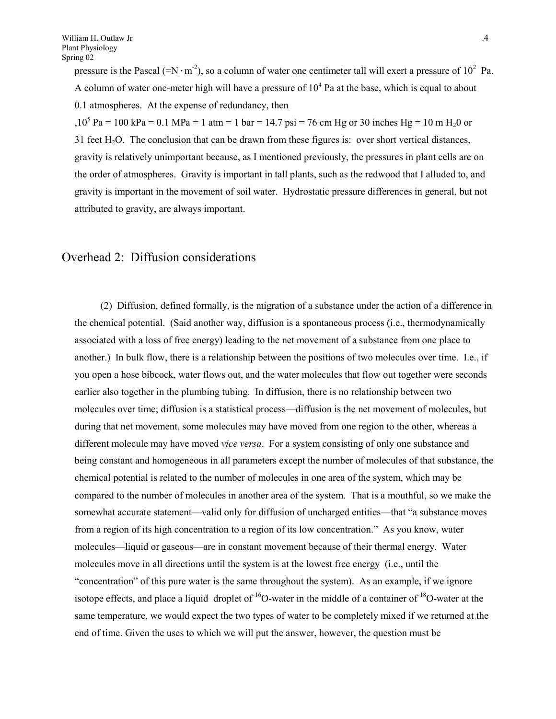pressure is the Pascal (= $N \cdot m^{-2}$ ), so a column of water one centimeter tall will exert a pressure of 10<sup>2</sup> Pa. A column of water one-meter high will have a pressure of  $10<sup>4</sup>$  Pa at the base, which is equal to about 0.1 atmospheres. At the expense of redundancy, then

,10<sup>5</sup> Pa = 100 kPa = 0.1 MPa = 1 atm = 1 bar = 14.7 psi = 76 cm Hg or 30 inches Hg = 10 m H<sub>2</sub>0 or 31 feet  $H_2O$ . The conclusion that can be drawn from these figures is: over short vertical distances, gravity is relatively unimportant because, as I mentioned previously, the pressures in plant cells are on the order of atmospheres. Gravity is important in tall plants, such as the redwood that I alluded to, and gravity is important in the movement of soil water. Hydrostatic pressure differences in general, but not attributed to gravity, are always important.

### Overhead 2: Diffusion considerations

(2) Diffusion, defined formally, is the migration of a substance under the action of a difference in the chemical potential. (Said another way, diffusion is a spontaneous process (i.e., thermodynamically associated with a loss of free energy) leading to the net movement of a substance from one place to another.) In bulk flow, there is a relationship between the positions of two molecules over time. I.e., if you open a hose bibcock, water flows out, and the water molecules that flow out together were seconds earlier also together in the plumbing tubing. In diffusion, there is no relationship between two molecules over time; diffusion is a statistical process—diffusion is the net movement of molecules, but during that net movement, some molecules may have moved from one region to the other, whereas a different molecule may have moved *vice versa*. For a system consisting of only one substance and being constant and homogeneous in all parameters except the number of molecules of that substance, the chemical potential is related to the number of molecules in one area of the system, which may be compared to the number of molecules in another area of the system. That is a mouthful, so we make the somewhat accurate statement—valid only for diffusion of uncharged entities—that "a substance moves from a region of its high concentration to a region of its low concentration." As you know, water molecules—liquid or gaseous—are in constant movement because of their thermal energy. Water molecules move in all directions until the system is at the lowest free energy (i.e., until the "concentration" of this pure water is the same throughout the system). As an example, if we ignore isotope effects, and place a liquid droplet of  ${}^{16}O$ -water in the middle of a container of  ${}^{18}O$ -water at the same temperature, we would expect the two types of water to be completely mixed if we returned at the end of time. Given the uses to which we will put the answer, however, the question must be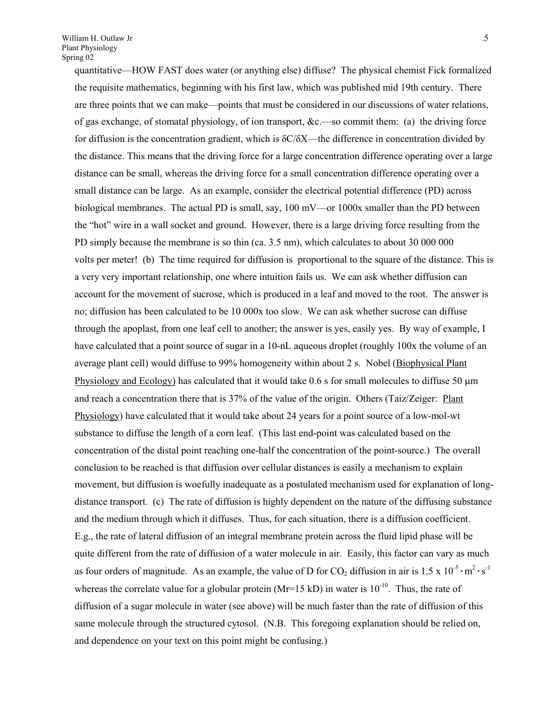quantitative—HOW FAST does water (or anything else) diffuse? The physical chemist Fick formalized the requisite mathematics, beginning with his first law, which was published mid 19th century. There are three points that we can make—points that must be considered in our discussions of water relations, of gas exchange, of stomatal physiology, of ion transport, &c.—so commit them: (a) the driving force for diffusion is the concentration gradient, which is  $\delta$ C/ $\delta$ X—the difference in concentration divided by the distance. This means that the driving force for a large concentration difference operating over a large distance can be small, whereas the driving force for a small concentration difference operating over a small distance can be large. As an example, consider the electrical potential difference (PD) across biological membranes. The actual PD is small, say, 100 mV—or 1000x smaller than the PD between the "hot" wire in a wall socket and ground. However, there is a large driving force resulting from the PD simply because the membrane is so thin (ca. 3.5 nm), which calculates to about 30 000 000 volts per meter! (b) The time required for diffusion is proportional to the square of the distance. This is a very very important relationship, one where intuition fails us. We can ask whether diffusion can account for the movement of sucrose, which is produced in a leaf and moved to the root. The answer is no; diffusion has been calculated to be 10 000x too slow. We can ask whether sucrose can diffuse through the apoplast, from one leaf cell to another; the answer is yes, easily yes. By way of example, I have calculated that a point source of sugar in a 10-nL aqueous droplet (roughly 100x the volume of an average plant cell) would diffuse to 99% homogeneity within about 2 s. Nobel (Biophysical Plant Physiology and Ecology) has calculated that it would take  $0.6$  s for small molecules to diffuse 50  $\mu$ m and reach a concentration there that is 37% of the value of the origin. Others (Taiz/Zeiger: Plant Physiology) have calculated that it would take about 24 years for a point source of a low-mol-wt substance to diffuse the length of a corn leaf. (This last end-point was calculated based on the concentration of the distal point reaching one-half the concentration of the point-source.) The overall conclusion to be reached is that diffusion over cellular distances is easily a mechanism to explain movement, but diffusion is woefully inadequate as a postulated mechanism used for explanation of longdistance transport. (c) The rate of diffusion is highly dependent on the nature of the diffusing substance and the medium through which it diffuses. Thus, for each situation, there is a diffusion coefficient. E.g., the rate of lateral diffusion of an integral membrane protein across the fluid lipid phase will be quite different from the rate of diffusion of a water molecule in air. Easily, this factor can vary as much as four orders of magnitude. As an example, the value of D for  $CO_2$  diffusion in air is 1.5 x 10<sup>-5</sup> · m<sup>2</sup> · s<sup>-1</sup> whereas the correlate value for a globular protein ( $Mr=15$  kD) in water is  $10^{-10}$ . Thus, the rate of diffusion of a sugar molecule in water (see above) will be much faster than the rate of diffusion of this same molecule through the structured cytosol. (N.B. This foregoing explanation should be relied on, and dependence on your text on this point might be confusing.)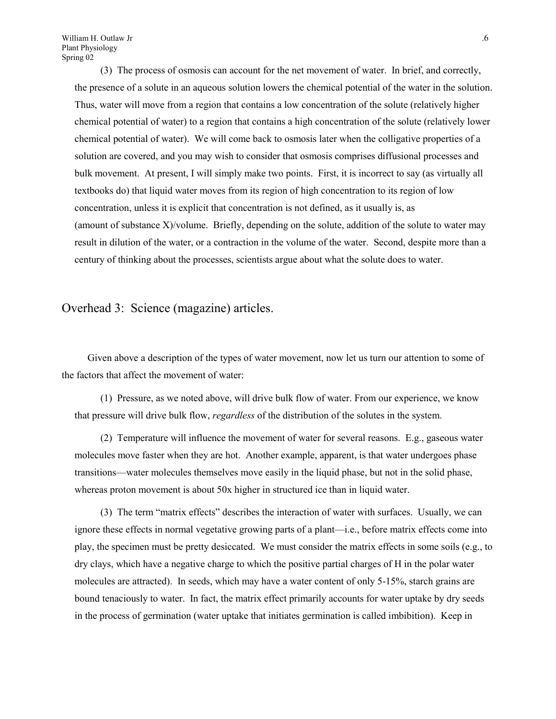(3) The process of osmosis can account for the net movement of water. In brief, and correctly, the presence of a solute in an aqueous solution lowers the chemical potential of the water in the solution. Thus, water will move from a region that contains a low concentration of the solute (relatively higher chemical potential of water) to a region that contains a high concentration of the solute (relatively lower chemical potential of water). We will come back to osmosis later when the colligative properties of a solution are covered, and you may wish to consider that osmosis comprises diffusional processes and bulk movement. At present, I will simply make two points. First, it is incorrect to say (as virtually all textbooks do) that liquid water moves from its region of high concentration to its region of low concentration, unless it is explicit that concentration is not defined, as it usually is, as (amount of substance X)/volume. Briefly, depending on the solute, addition of the solute to water may result in dilution of the water, or a contraction in the volume of the water. Second, despite more than a century of thinking about the processes, scientists argue about what the solute does to water.

Overhead 3: Science (magazine) articles.

Given above a description of the types of water movement, now let us turn our attention to some of the factors that affect the movement of water:

(1) Pressure, as we noted above, will drive bulk flow of water. From our experience, we know that pressure will drive bulk flow, *regardless* of the distribution of the solutes in the system.

(2) Temperature will influence the movement of water for several reasons. E.g., gaseous water molecules move faster when they are hot. Another example, apparent, is that water undergoes phase transitions—water molecules themselves move easily in the liquid phase, but not in the solid phase, whereas proton movement is about 50x higher in structured ice than in liquid water.

(3) The term "matrix effects" describes the interaction of water with surfaces. Usually, we can ignore these effects in normal vegetative growing parts of a plant—i.e., before matrix effects come into play, the specimen must be pretty desiccated. We must consider the matrix effects in some soils (e.g., to dry clays, which have a negative charge to which the positive partial charges of H in the polar water molecules are attracted). In seeds, which may have a water content of only 5-15%, starch grains are bound tenaciously to water. In fact, the matrix effect primarily accounts for water uptake by dry seeds in the process of germination (water uptake that initiates germination is called imbibition). Keep in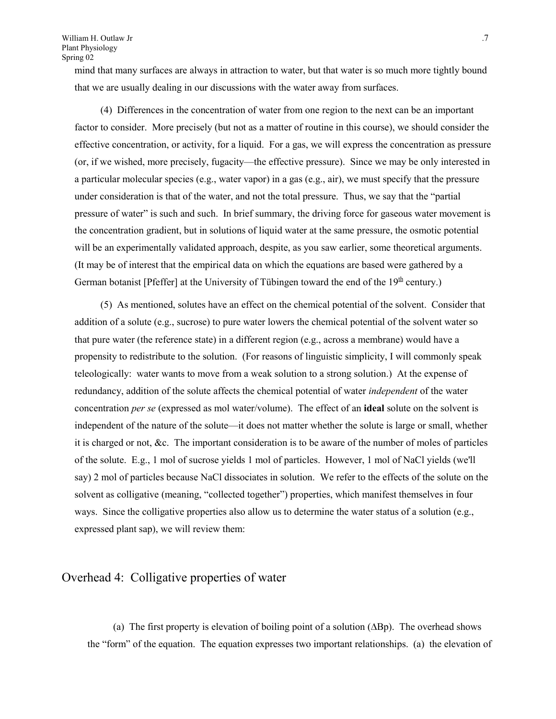mind that many surfaces are always in attraction to water, but that water is so much more tightly bound that we are usually dealing in our discussions with the water away from surfaces.

(4) Differences in the concentration of water from one region to the next can be an important factor to consider. More precisely (but not as a matter of routine in this course), we should consider the effective concentration, or activity, for a liquid. For a gas, we will express the concentration as pressure (or, if we wished, more precisely, fugacity—the effective pressure). Since we may be only interested in a particular molecular species (e.g., water vapor) in a gas (e.g., air), we must specify that the pressure under consideration is that of the water, and not the total pressure. Thus, we say that the "partial pressure of water" is such and such. In brief summary, the driving force for gaseous water movement is the concentration gradient, but in solutions of liquid water at the same pressure, the osmotic potential will be an experimentally validated approach, despite, as you saw earlier, some theoretical arguments. (It may be of interest that the empirical data on which the equations are based were gathered by a German botanist [Pfeffer] at the University of Tübingen toward the end of the  $19<sup>th</sup>$  century.)

(5) As mentioned, solutes have an effect on the chemical potential of the solvent. Consider that addition of a solute (e.g., sucrose) to pure water lowers the chemical potential of the solvent water so that pure water (the reference state) in a different region (e.g., across a membrane) would have a propensity to redistribute to the solution. (For reasons of linguistic simplicity, I will commonly speak teleologically: water wants to move from a weak solution to a strong solution.) At the expense of redundancy, addition of the solute affects the chemical potential of water *independent* of the water concentration *per se* (expressed as mol water/volume). The effect of an **ideal** solute on the solvent is independent of the nature of the solute—it does not matter whether the solute is large or small, whether it is charged or not, &c. The important consideration is to be aware of the number of moles of particles of the solute. E.g., 1 mol of sucrose yields 1 mol of particles. However, 1 mol of NaCl yields (we'll say) 2 mol of particles because NaCl dissociates in solution. We refer to the effects of the solute on the solvent as colligative (meaning, "collected together") properties, which manifest themselves in four ways. Since the colligative properties also allow us to determine the water status of a solution (e.g., expressed plant sap), we will review them:

# Overhead 4: Colligative properties of water

(a) The first property is elevation of boiling point of a solution  $(\Delta Bp)$ . The overhead shows the "form" of the equation. The equation expresses two important relationships. (a) the elevation of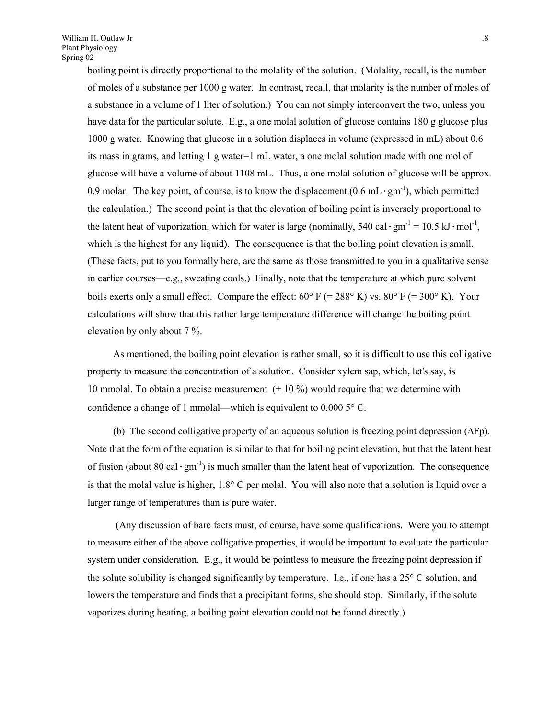boiling point is directly proportional to the molality of the solution. (Molality, recall, is the number of moles of a substance per 1000 g water. In contrast, recall, that molarity is the number of moles of a substance in a volume of 1 liter of solution.) You can not simply interconvert the two, unless you have data for the particular solute. E.g., a one molal solution of glucose contains 180 g glucose plus 1000 g water. Knowing that glucose in a solution displaces in volume (expressed in mL) about 0.6 its mass in grams, and letting 1 g water=1 mL water, a one molal solution made with one mol of glucose will have a volume of about 1108 mL. Thus, a one molal solution of glucose will be approx. 0.9 molar. The key point, of course, is to know the displacement  $(0.6 \text{ mL}\cdot\text{gm}^{-1})$ , which permitted the calculation.) The second point is that the elevation of boiling point is inversely proportional to the latent heat of vaporization, which for water is large (nominally, 540 cal·gm<sup>-1</sup> = 10.5 kJ·mol<sup>-1</sup>, which is the highest for any liquid). The consequence is that the boiling point elevation is small. (These facts, put to you formally here, are the same as those transmitted to you in a qualitative sense in earlier courses—e.g., sweating cools.) Finally, note that the temperature at which pure solvent boils exerts only a small effect. Compare the effect:  $60^{\circ}$  F (= 288 $^{\circ}$  K) vs.  $80^{\circ}$  F (= 300 $^{\circ}$  K). Your calculations will show that this rather large temperature difference will change the boiling point elevation by only about 7 %.

As mentioned, the boiling point elevation is rather small, so it is difficult to use this colligative property to measure the concentration of a solution. Consider xylem sap, which, let's say, is 10 mmolal. To obtain a precise measurement  $( \pm 10 \%)$  would require that we determine with confidence a change of 1 mmolal—which is equivalent to  $0.0005$ °C.

(b) The second colligative property of an aqueous solution is freezing point depression  $(\Delta Fp)$ . Note that the form of the equation is similar to that for boiling point elevation, but that the latent heat of fusion (about 80 cal·gm<sup>-1</sup>) is much smaller than the latent heat of vaporization. The consequence is that the molal value is higher,  $1.8^{\circ}$  C per molal. You will also note that a solution is liquid over a larger range of temperatures than is pure water.

 (Any discussion of bare facts must, of course, have some qualifications. Were you to attempt to measure either of the above colligative properties, it would be important to evaluate the particular system under consideration. E.g., it would be pointless to measure the freezing point depression if the solute solubility is changed significantly by temperature. I.e., if one has a  $25^{\circ}$  C solution, and lowers the temperature and finds that a precipitant forms, she should stop. Similarly, if the solute vaporizes during heating, a boiling point elevation could not be found directly.)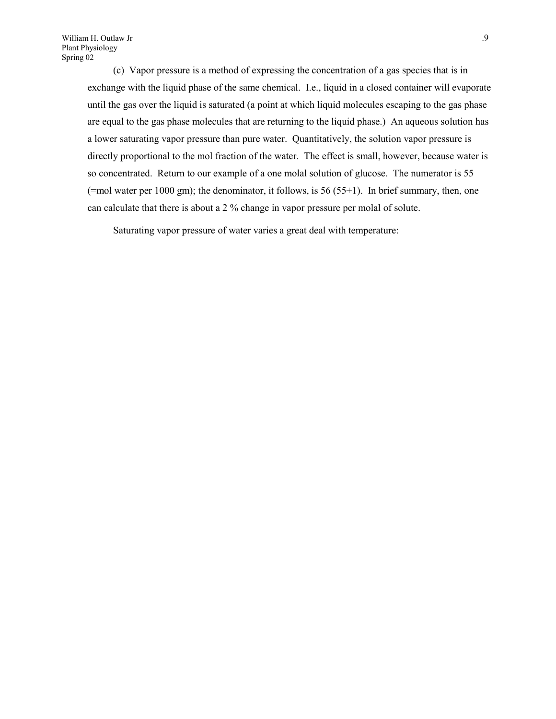(c) Vapor pressure is a method of expressing the concentration of a gas species that is in exchange with the liquid phase of the same chemical. I.e., liquid in a closed container will evaporate until the gas over the liquid is saturated (a point at which liquid molecules escaping to the gas phase are equal to the gas phase molecules that are returning to the liquid phase.) An aqueous solution has a lower saturating vapor pressure than pure water. Quantitatively, the solution vapor pressure is directly proportional to the mol fraction of the water. The effect is small, however, because water is so concentrated. Return to our example of a one molal solution of glucose. The numerator is 55 (=mol water per 1000 gm); the denominator, it follows, is 56 (55+1). In brief summary, then, one can calculate that there is about a 2 % change in vapor pressure per molal of solute.

Saturating vapor pressure of water varies a great deal with temperature: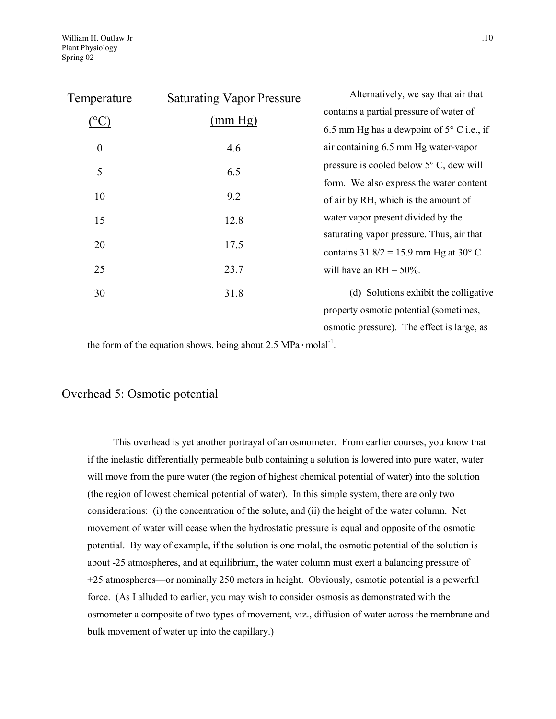| Temperature      | <b>Saturating Vapor Pressure</b> | Alternatively, we say that air that                |
|------------------|----------------------------------|----------------------------------------------------|
| $\rm ^{(o}C$     | (mm Hg)                          | contains a partial pressure of water of            |
|                  |                                  | 6.5 mm Hg has a dewpoint of $5^{\circ}$ C i.e., if |
| $\boldsymbol{0}$ | 4.6                              | air containing 6.5 mm Hg water-vapor               |
| 5                | 6.5                              | pressure is cooled below $5^{\circ}$ C, dew will   |
|                  |                                  | form. We also express the water content            |
| 10               | 9.2                              | of air by RH, which is the amount of               |
| 15               | 12.8                             | water vapor present divided by the                 |
|                  |                                  | saturating vapor pressure. Thus, air that          |
| 20               | 17.5                             | contains $31.8/2 = 15.9$ mm Hg at $30^{\circ}$ C   |
| 25               | 23.7                             | will have an $RH = 50\%$ .                         |
| 30               | 31.8                             | (d) Solutions exhibit the colligative              |
|                  |                                  | property osmotic potential (sometimes,             |
|                  |                                  | osmotic pressure). The effect is large, as         |

the form of the equation shows, being about  $2.5 \text{ MPa} \cdot \text{mola}^{-1}$ .

## Overhead 5: Osmotic potential

This overhead is yet another portrayal of an osmometer. From earlier courses, you know that if the inelastic differentially permeable bulb containing a solution is lowered into pure water, water will move from the pure water (the region of highest chemical potential of water) into the solution (the region of lowest chemical potential of water). In this simple system, there are only two considerations: (i) the concentration of the solute, and (ii) the height of the water column. Net movement of water will cease when the hydrostatic pressure is equal and opposite of the osmotic potential. By way of example, if the solution is one molal, the osmotic potential of the solution is about -25 atmospheres, and at equilibrium, the water column must exert a balancing pressure of +25 atmospheres—or nominally 250 meters in height. Obviously, osmotic potential is a powerful force. (As I alluded to earlier, you may wish to consider osmosis as demonstrated with the osmometer a composite of two types of movement, viz., diffusion of water across the membrane and bulk movement of water up into the capillary.)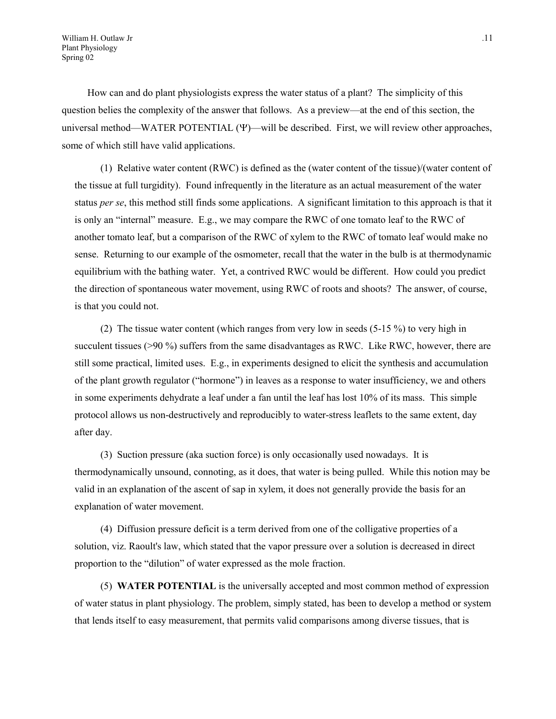How can and do plant physiologists express the water status of a plant? The simplicity of this question belies the complexity of the answer that follows. As a preview—at the end of this section, the universal method—WATER POTENTIAL  $(\Psi)$ —will be described. First, we will review other approaches, some of which still have valid applications.

(1) Relative water content (RWC) is defined as the (water content of the tissue)/(water content of the tissue at full turgidity). Found infrequently in the literature as an actual measurement of the water status *per se*, this method still finds some applications. A significant limitation to this approach is that it is only an "internal" measure. E.g., we may compare the RWC of one tomato leaf to the RWC of another tomato leaf, but a comparison of the RWC of xylem to the RWC of tomato leaf would make no sense. Returning to our example of the osmometer, recall that the water in the bulb is at thermodynamic equilibrium with the bathing water. Yet, a contrived RWC would be different. How could you predict the direction of spontaneous water movement, using RWC of roots and shoots? The answer, of course, is that you could not.

(2) The tissue water content (which ranges from very low in seeds (5-15 %) to very high in succulent tissues (>90 %) suffers from the same disadvantages as RWC. Like RWC, however, there are still some practical, limited uses. E.g., in experiments designed to elicit the synthesis and accumulation of the plant growth regulator ("hormone") in leaves as a response to water insufficiency, we and others in some experiments dehydrate a leaf under a fan until the leaf has lost 10% of its mass. This simple protocol allows us non-destructively and reproducibly to water-stress leaflets to the same extent, day after day.

(3) Suction pressure (aka suction force) is only occasionally used nowadays. It is thermodynamically unsound, connoting, as it does, that water is being pulled. While this notion may be valid in an explanation of the ascent of sap in xylem, it does not generally provide the basis for an explanation of water movement.

(4) Diffusion pressure deficit is a term derived from one of the colligative properties of a solution, viz. Raoult's law, which stated that the vapor pressure over a solution is decreased in direct proportion to the "dilution" of water expressed as the mole fraction.

(5) **WATER POTENTIAL** is the universally accepted and most common method of expression of water status in plant physiology. The problem, simply stated, has been to develop a method or system that lends itself to easy measurement, that permits valid comparisons among diverse tissues, that is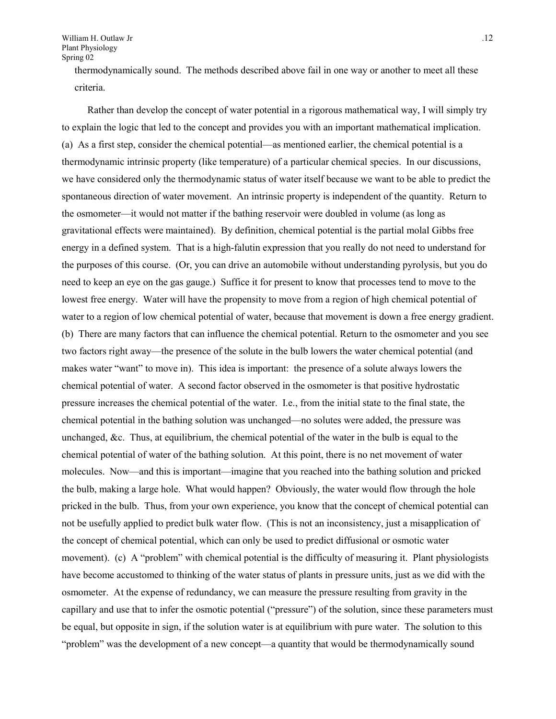thermodynamically sound. The methods described above fail in one way or another to meet all these criteria.

Rather than develop the concept of water potential in a rigorous mathematical way, I will simply try to explain the logic that led to the concept and provides you with an important mathematical implication. (a) As a first step, consider the chemical potential—as mentioned earlier, the chemical potential is a thermodynamic intrinsic property (like temperature) of a particular chemical species. In our discussions, we have considered only the thermodynamic status of water itself because we want to be able to predict the spontaneous direction of water movement. An intrinsic property is independent of the quantity. Return to the osmometer—it would not matter if the bathing reservoir were doubled in volume (as long as gravitational effects were maintained). By definition, chemical potential is the partial molal Gibbs free energy in a defined system. That is a high-falutin expression that you really do not need to understand for the purposes of this course. (Or, you can drive an automobile without understanding pyrolysis, but you do need to keep an eye on the gas gauge.) Suffice it for present to know that processes tend to move to the lowest free energy. Water will have the propensity to move from a region of high chemical potential of water to a region of low chemical potential of water, because that movement is down a free energy gradient. (b) There are many factors that can influence the chemical potential. Return to the osmometer and you see two factors right away—the presence of the solute in the bulb lowers the water chemical potential (and makes water "want" to move in). This idea is important: the presence of a solute always lowers the chemical potential of water. A second factor observed in the osmometer is that positive hydrostatic pressure increases the chemical potential of the water. I.e., from the initial state to the final state, the chemical potential in the bathing solution was unchanged—no solutes were added, the pressure was unchanged,  $\&c$ . Thus, at equilibrium, the chemical potential of the water in the bulb is equal to the chemical potential of water of the bathing solution. At this point, there is no net movement of water molecules. Now—and this is important—imagine that you reached into the bathing solution and pricked the bulb, making a large hole. What would happen? Obviously, the water would flow through the hole pricked in the bulb. Thus, from your own experience, you know that the concept of chemical potential can not be usefully applied to predict bulk water flow. (This is not an inconsistency, just a misapplication of the concept of chemical potential, which can only be used to predict diffusional or osmotic water movement). (c) A "problem" with chemical potential is the difficulty of measuring it. Plant physiologists have become accustomed to thinking of the water status of plants in pressure units, just as we did with the osmometer. At the expense of redundancy, we can measure the pressure resulting from gravity in the capillary and use that to infer the osmotic potential ("pressure") of the solution, since these parameters must be equal, but opposite in sign, if the solution water is at equilibrium with pure water. The solution to this "problem" was the development of a new concept—a quantity that would be thermodynamically sound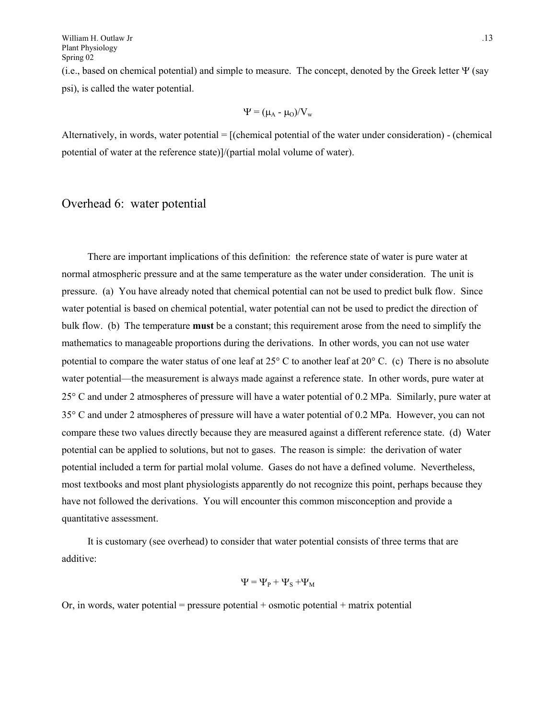(i.e., based on chemical potential) and simple to measure. The concept, denoted by the Greek letter  $\Psi$  (say psi), is called the water potential.

$$
\Psi = (\mu_A - \mu_O)/V_w
$$

Alternatively, in words, water potential  $=$  [(chemical potential of the water under consideration)  $-$  (chemical potential of water at the reference state)]/(partial molal volume of water).

# Overhead 6: water potential

There are important implications of this definition: the reference state of water is pure water at normal atmospheric pressure and at the same temperature as the water under consideration. The unit is pressure. (a) You have already noted that chemical potential can not be used to predict bulk flow. Since water potential is based on chemical potential, water potential can not be used to predict the direction of bulk flow. (b) The temperature **must** be a constant; this requirement arose from the need to simplify the mathematics to manageable proportions during the derivations. In other words, you can not use water potential to compare the water status of one leaf at  $25^{\circ}$  C to another leaf at  $20^{\circ}$  C. (c) There is no absolute water potential—the measurement is always made against a reference state. In other words, pure water at 25 C and under 2 atmospheres of pressure will have a water potential of 0.2 MPa. Similarly, pure water at 35 C and under 2 atmospheres of pressure will have a water potential of 0.2 MPa. However, you can not compare these two values directly because they are measured against a different reference state. (d) Water potential can be applied to solutions, but not to gases. The reason is simple: the derivation of water potential included a term for partial molal volume. Gases do not have a defined volume. Nevertheless, most textbooks and most plant physiologists apparently do not recognize this point, perhaps because they have not followed the derivations. You will encounter this common misconception and provide a quantitative assessment.

It is customary (see overhead) to consider that water potential consists of three terms that are additive:

$$
\Psi = \Psi_{P} + \Psi_{S} + \Psi_{M}
$$

Or, in words, water potential = pressure potential + osmotic potential + matrix potential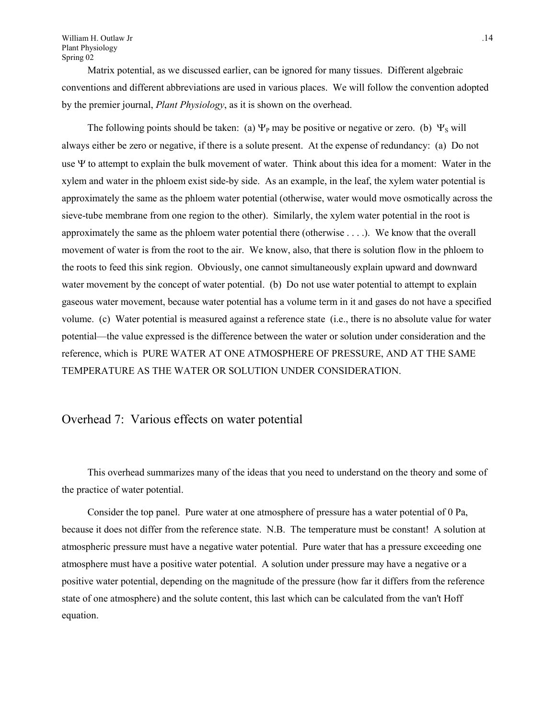Matrix potential, as we discussed earlier, can be ignored for many tissues. Different algebraic conventions and different abbreviations are used in various places. We will follow the convention adopted by the premier journal, *Plant Physiology*, as it is shown on the overhead.

The following points should be taken: (a)  $\Psi_p$  may be positive or negative or zero. (b)  $\Psi_s$  will always either be zero or negative, if there is a solute present. At the expense of redundancy: (a) Do not use  $\Psi$  to attempt to explain the bulk movement of water. Think about this idea for a moment: Water in the xylem and water in the phloem exist side-by side. As an example, in the leaf, the xylem water potential is approximately the same as the phloem water potential (otherwise, water would move osmotically across the sieve-tube membrane from one region to the other). Similarly, the xylem water potential in the root is approximately the same as the phloem water potential there (otherwise . . . .). We know that the overall movement of water is from the root to the air. We know, also, that there is solution flow in the phloem to the roots to feed this sink region. Obviously, one cannot simultaneously explain upward and downward water movement by the concept of water potential. (b) Do not use water potential to attempt to explain gaseous water movement, because water potential has a volume term in it and gases do not have a specified volume. (c) Water potential is measured against a reference state (i.e., there is no absolute value for water potential—the value expressed is the difference between the water or solution under consideration and the reference, which is PURE WATER AT ONE ATMOSPHERE OF PRESSURE, AND AT THE SAME TEMPERATURE AS THE WATER OR SOLUTION UNDER CONSIDERATION.

## Overhead 7: Various effects on water potential

This overhead summarizes many of the ideas that you need to understand on the theory and some of the practice of water potential.

Consider the top panel. Pure water at one atmosphere of pressure has a water potential of 0 Pa, because it does not differ from the reference state. N.B. The temperature must be constant! A solution at atmospheric pressure must have a negative water potential. Pure water that has a pressure exceeding one atmosphere must have a positive water potential. A solution under pressure may have a negative or a positive water potential, depending on the magnitude of the pressure (how far it differs from the reference state of one atmosphere) and the solute content, this last which can be calculated from the van't Hoff equation.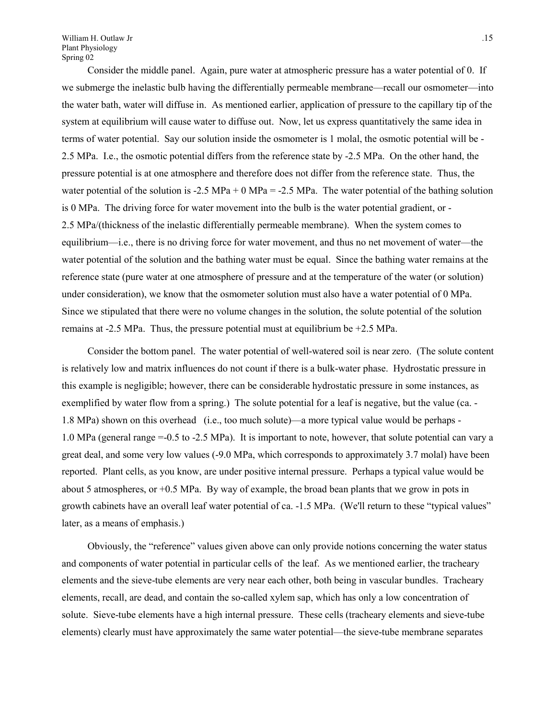Consider the middle panel. Again, pure water at atmospheric pressure has a water potential of 0. If we submerge the inelastic bulb having the differentially permeable membrane—recall our osmometer—into the water bath, water will diffuse in. As mentioned earlier, application of pressure to the capillary tip of the system at equilibrium will cause water to diffuse out. Now, let us express quantitatively the same idea in terms of water potential. Say our solution inside the osmometer is 1 molal, the osmotic potential will be - 2.5 MPa. I.e., the osmotic potential differs from the reference state by -2.5 MPa. On the other hand, the pressure potential is at one atmosphere and therefore does not differ from the reference state. Thus, the water potential of the solution is  $-2.5 \text{ MPa} + 0 \text{ MPa} = -2.5 \text{ MPa}$ . The water potential of the bathing solution is 0 MPa. The driving force for water movement into the bulb is the water potential gradient, or - 2.5 MPa/(thickness of the inelastic differentially permeable membrane). When the system comes to equilibrium—i.e., there is no driving force for water movement, and thus no net movement of water—the water potential of the solution and the bathing water must be equal. Since the bathing water remains at the reference state (pure water at one atmosphere of pressure and at the temperature of the water (or solution) under consideration), we know that the osmometer solution must also have a water potential of 0 MPa. Since we stipulated that there were no volume changes in the solution, the solute potential of the solution remains at  $-2.5$  MPa. Thus, the pressure potential must at equilibrium be  $+2.5$  MPa.

Consider the bottom panel. The water potential of well-watered soil is near zero. (The solute content is relatively low and matrix influences do not count if there is a bulk-water phase. Hydrostatic pressure in this example is negligible; however, there can be considerable hydrostatic pressure in some instances, as exemplified by water flow from a spring.) The solute potential for a leaf is negative, but the value (ca. - 1.8 MPa) shown on this overhead (i.e., too much solute)—a more typical value would be perhaps - 1.0 MPa (general range =-0.5 to -2.5 MPa). It is important to note, however, that solute potential can vary a great deal, and some very low values (-9.0 MPa, which corresponds to approximately 3.7 molal) have been reported. Plant cells, as you know, are under positive internal pressure. Perhaps a typical value would be about 5 atmospheres, or +0.5 MPa. By way of example, the broad bean plants that we grow in pots in growth cabinets have an overall leaf water potential of ca. -1.5 MPa. (We'll return to these "typical values" later, as a means of emphasis.)

Obviously, the "reference" values given above can only provide notions concerning the water status and components of water potential in particular cells of the leaf. As we mentioned earlier, the tracheary elements and the sieve-tube elements are very near each other, both being in vascular bundles. Tracheary elements, recall, are dead, and contain the so-called xylem sap, which has only a low concentration of solute. Sieve-tube elements have a high internal pressure. These cells (tracheary elements and sieve-tube elements) clearly must have approximately the same water potential—the sieve-tube membrane separates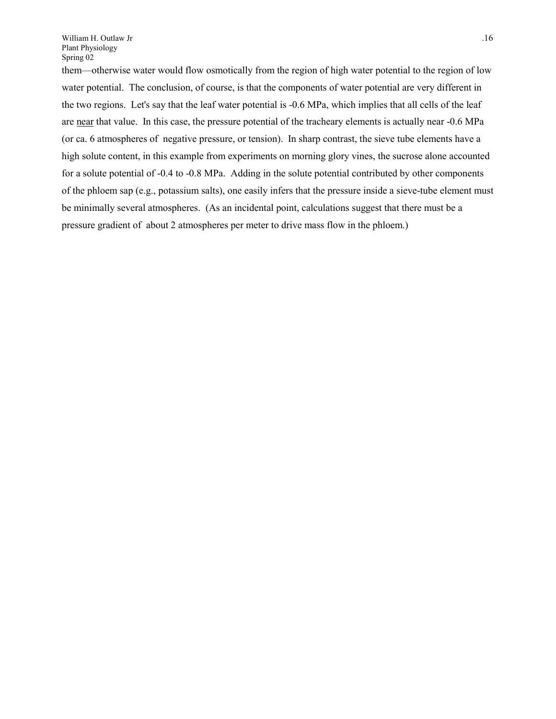them—otherwise water would flow osmotically from the region of high water potential to the region of low water potential. The conclusion, of course, is that the components of water potential are very different in the two regions. Let's say that the leaf water potential is -0.6 MPa, which implies that all cells of the leaf are near that value. In this case, the pressure potential of the tracheary elements is actually near -0.6 MPa (or ca. 6 atmospheres of negative pressure, or tension). In sharp contrast, the sieve tube elements have a high solute content, in this example from experiments on morning glory vines, the sucrose alone accounted for a solute potential of -0.4 to -0.8 MPa. Adding in the solute potential contributed by other components of the phloem sap (e.g., potassium salts), one easily infers that the pressure inside a sieve-tube element must be minimally several atmospheres. (As an incidental point, calculations suggest that there must be a pressure gradient of about 2 atmospheres per meter to drive mass flow in the phloem.)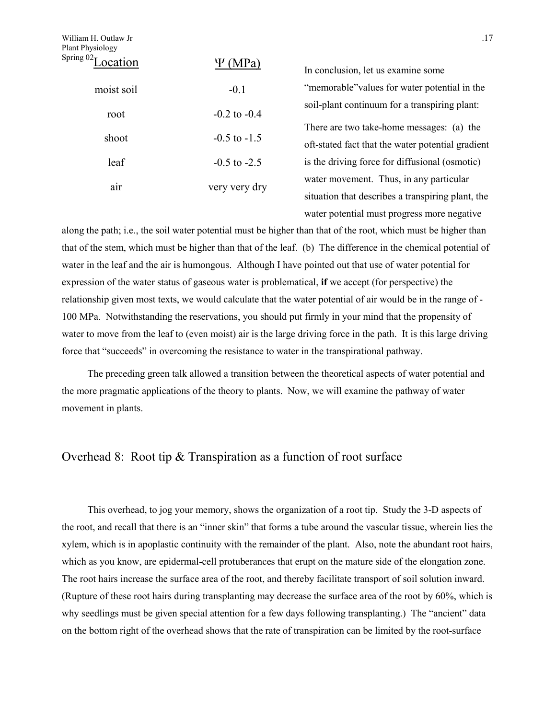| William H. Outlaw Jr<br>Plant Physiology |                  | .17                                                                                            |
|------------------------------------------|------------------|------------------------------------------------------------------------------------------------|
| Spring $02T$<br>ocation                  | (MPa)<br>Ψ       | In conclusion, let us examine some                                                             |
| moist soil                               | $-0.1$           | "memorable" values for water potential in the                                                  |
| root                                     | $-0.2$ to $-0.4$ | soil-plant continuum for a transpiring plant:                                                  |
| shoot                                    | $-0.5$ to $-1.5$ | There are two take-home messages: (a) the<br>oft-stated fact that the water potential gradient |
| leaf                                     | $-0.5$ to $-2.5$ | is the driving force for diffusional (osmotic)                                                 |
| air                                      | very very dry    | water movement. Thus, in any particular<br>situation that describes a transpiring plant, the   |

along the path; i.e., the soil water potential must be higher than that of the root, which must be higher than that of the stem, which must be higher than that of the leaf. (b) The difference in the chemical potential of water in the leaf and the air is humongous. Although I have pointed out that use of water potential for expression of the water status of gaseous water is problematical, **if** we accept (for perspective) the relationship given most texts, we would calculate that the water potential of air would be in the range of - 100 MPa. Notwithstanding the reservations, you should put firmly in your mind that the propensity of water to move from the leaf to (even moist) air is the large driving force in the path. It is this large driving force that "succeeds" in overcoming the resistance to water in the transpirational pathway.

water potential must progress more negative

The preceding green talk allowed a transition between the theoretical aspects of water potential and the more pragmatic applications of the theory to plants. Now, we will examine the pathway of water movement in plants.

# Overhead 8: Root tip & Transpiration as a function of root surface

This overhead, to jog your memory, shows the organization of a root tip. Study the 3-D aspects of the root, and recall that there is an "inner skin" that forms a tube around the vascular tissue, wherein lies the xylem, which is in apoplastic continuity with the remainder of the plant. Also, note the abundant root hairs, which as you know, are epidermal-cell protuberances that erupt on the mature side of the elongation zone. The root hairs increase the surface area of the root, and thereby facilitate transport of soil solution inward. (Rupture of these root hairs during transplanting may decrease the surface area of the root by 60%, which is why seedlings must be given special attention for a few days following transplanting.) The "ancient" data on the bottom right of the overhead shows that the rate of transpiration can be limited by the root-surface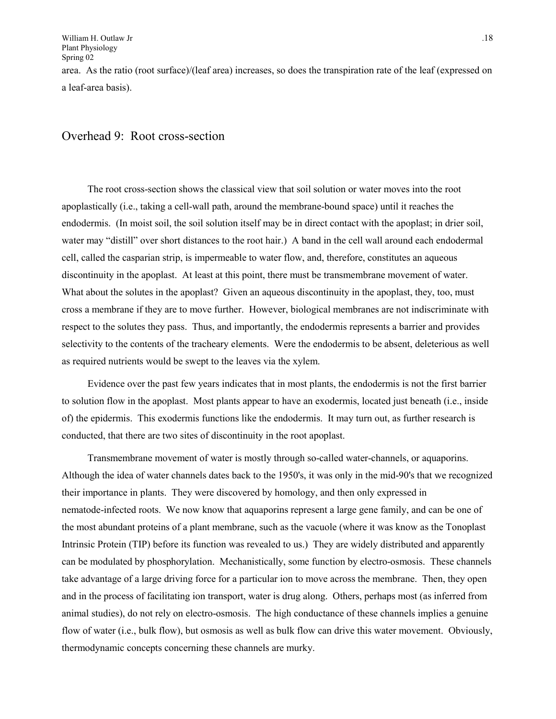a leaf-area basis).

### Overhead 9: Root cross-section

The root cross-section shows the classical view that soil solution or water moves into the root apoplastically (i.e., taking a cell-wall path, around the membrane-bound space) until it reaches the endodermis. (In moist soil, the soil solution itself may be in direct contact with the apoplast; in drier soil, water may "distill" over short distances to the root hair.) A band in the cell wall around each endodermal cell, called the casparian strip, is impermeable to water flow, and, therefore, constitutes an aqueous discontinuity in the apoplast. At least at this point, there must be transmembrane movement of water. What about the solutes in the apoplast? Given an aqueous discontinuity in the apoplast, they, too, must cross a membrane if they are to move further. However, biological membranes are not indiscriminate with respect to the solutes they pass. Thus, and importantly, the endodermis represents a barrier and provides selectivity to the contents of the tracheary elements. Were the endodermis to be absent, deleterious as well as required nutrients would be swept to the leaves via the xylem.

Evidence over the past few years indicates that in most plants, the endodermis is not the first barrier to solution flow in the apoplast. Most plants appear to have an exodermis, located just beneath (i.e., inside of) the epidermis. This exodermis functions like the endodermis. It may turn out, as further research is conducted, that there are two sites of discontinuity in the root apoplast.

Transmembrane movement of water is mostly through so-called water-channels, or aquaporins. Although the idea of water channels dates back to the 1950's, it was only in the mid-90's that we recognized their importance in plants. They were discovered by homology, and then only expressed in nematode-infected roots. We now know that aquaporins represent a large gene family, and can be one of the most abundant proteins of a plant membrane, such as the vacuole (where it was know as the Tonoplast Intrinsic Protein (TIP) before its function was revealed to us.) They are widely distributed and apparently can be modulated by phosphorylation. Mechanistically, some function by electro-osmosis. These channels take advantage of a large driving force for a particular ion to move across the membrane. Then, they open and in the process of facilitating ion transport, water is drug along. Others, perhaps most (as inferred from animal studies), do not rely on electro-osmosis. The high conductance of these channels implies a genuine flow of water (i.e., bulk flow), but osmosis as well as bulk flow can drive this water movement. Obviously, thermodynamic concepts concerning these channels are murky.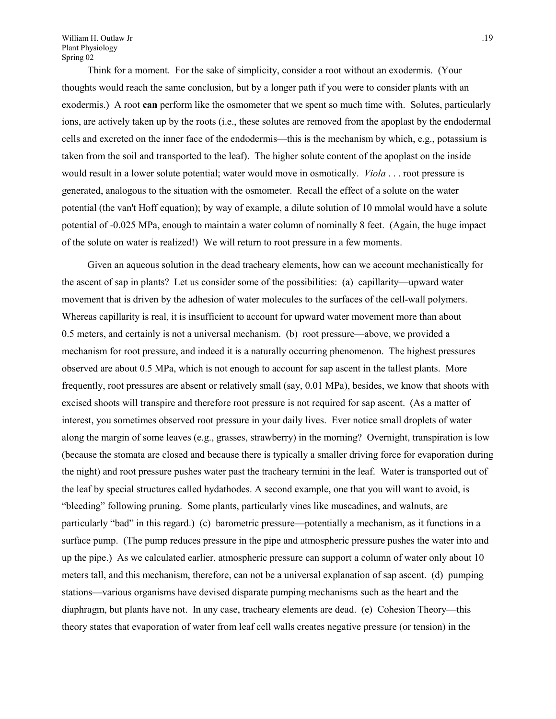Think for a moment. For the sake of simplicity, consider a root without an exodermis. (Your thoughts would reach the same conclusion, but by a longer path if you were to consider plants with an exodermis.) A root **can** perform like the osmometer that we spent so much time with. Solutes, particularly ions, are actively taken up by the roots (i.e., these solutes are removed from the apoplast by the endodermal cells and excreted on the inner face of the endodermis—this is the mechanism by which, e.g., potassium is taken from the soil and transported to the leaf). The higher solute content of the apoplast on the inside would result in a lower solute potential; water would move in osmotically. *Viola* . . . root pressure is generated, analogous to the situation with the osmometer. Recall the effect of a solute on the water potential (the van't Hoff equation); by way of example, a dilute solution of 10 mmolal would have a solute potential of -0.025 MPa, enough to maintain a water column of nominally 8 feet. (Again, the huge impact of the solute on water is realized!) We will return to root pressure in a few moments.

Given an aqueous solution in the dead tracheary elements, how can we account mechanistically for the ascent of sap in plants? Let us consider some of the possibilities: (a) capillarity—upward water movement that is driven by the adhesion of water molecules to the surfaces of the cell-wall polymers. Whereas capillarity is real, it is insufficient to account for upward water movement more than about 0.5 meters, and certainly is not a universal mechanism. (b) root pressure—above, we provided a mechanism for root pressure, and indeed it is a naturally occurring phenomenon. The highest pressures observed are about 0.5 MPa, which is not enough to account for sap ascent in the tallest plants. More frequently, root pressures are absent or relatively small (say, 0.01 MPa), besides, we know that shoots with excised shoots will transpire and therefore root pressure is not required for sap ascent. (As a matter of interest, you sometimes observed root pressure in your daily lives. Ever notice small droplets of water along the margin of some leaves (e.g., grasses, strawberry) in the morning? Overnight, transpiration is low (because the stomata are closed and because there is typically a smaller driving force for evaporation during the night) and root pressure pushes water past the tracheary termini in the leaf. Water is transported out of the leaf by special structures called hydathodes. A second example, one that you will want to avoid, is "bleeding" following pruning. Some plants, particularly vines like muscadines, and walnuts, are particularly "bad" in this regard.) (c) barometric pressure—potentially a mechanism, as it functions in a surface pump. (The pump reduces pressure in the pipe and atmospheric pressure pushes the water into and up the pipe.) As we calculated earlier, atmospheric pressure can support a column of water only about 10 meters tall, and this mechanism, therefore, can not be a universal explanation of sap ascent. (d) pumping stations—various organisms have devised disparate pumping mechanisms such as the heart and the diaphragm, but plants have not. In any case, tracheary elements are dead. (e) Cohesion Theory—this theory states that evaporation of water from leaf cell walls creates negative pressure (or tension) in the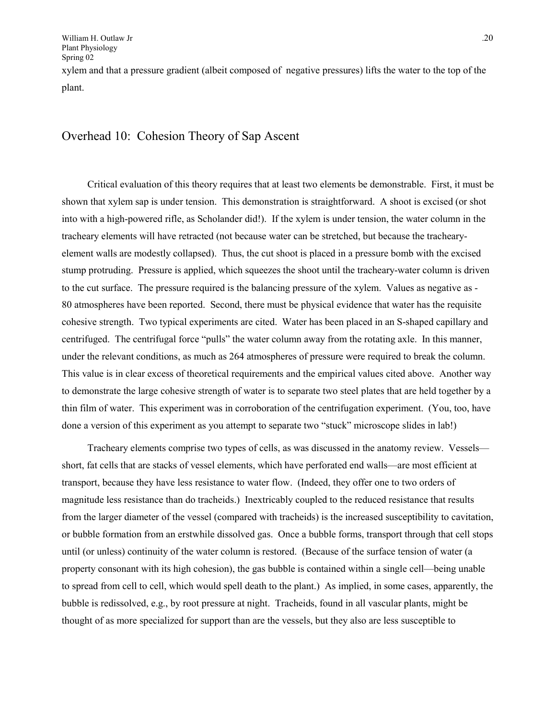xylem and that a pressure gradient (albeit composed of negative pressures) lifts the water to the top of the plant.

# Overhead 10: Cohesion Theory of Sap Ascent

Critical evaluation of this theory requires that at least two elements be demonstrable. First, it must be shown that xylem sap is under tension. This demonstration is straightforward. A shoot is excised (or shot into with a high-powered rifle, as Scholander did!). If the xylem is under tension, the water column in the tracheary elements will have retracted (not because water can be stretched, but because the trachearyelement walls are modestly collapsed). Thus, the cut shoot is placed in a pressure bomb with the excised stump protruding. Pressure is applied, which squeezes the shoot until the tracheary-water column is driven to the cut surface. The pressure required is the balancing pressure of the xylem. Values as negative as - 80 atmospheres have been reported. Second, there must be physical evidence that water has the requisite cohesive strength. Two typical experiments are cited. Water has been placed in an S-shaped capillary and centrifuged. The centrifugal force "pulls" the water column away from the rotating axle. In this manner, under the relevant conditions, as much as 264 atmospheres of pressure were required to break the column. This value is in clear excess of theoretical requirements and the empirical values cited above. Another way to demonstrate the large cohesive strength of water is to separate two steel plates that are held together by a thin film of water. This experiment was in corroboration of the centrifugation experiment. (You, too, have done a version of this experiment as you attempt to separate two "stuck" microscope slides in lab!)

Tracheary elements comprise two types of cells, as was discussed in the anatomy review. Vessels short, fat cells that are stacks of vessel elements, which have perforated end walls—are most efficient at transport, because they have less resistance to water flow. (Indeed, they offer one to two orders of magnitude less resistance than do tracheids.) Inextricably coupled to the reduced resistance that results from the larger diameter of the vessel (compared with tracheids) is the increased susceptibility to cavitation, or bubble formation from an erstwhile dissolved gas. Once a bubble forms, transport through that cell stops until (or unless) continuity of the water column is restored. (Because of the surface tension of water (a property consonant with its high cohesion), the gas bubble is contained within a single cell—being unable to spread from cell to cell, which would spell death to the plant.) As implied, in some cases, apparently, the bubble is redissolved, e.g., by root pressure at night. Tracheids, found in all vascular plants, might be thought of as more specialized for support than are the vessels, but they also are less susceptible to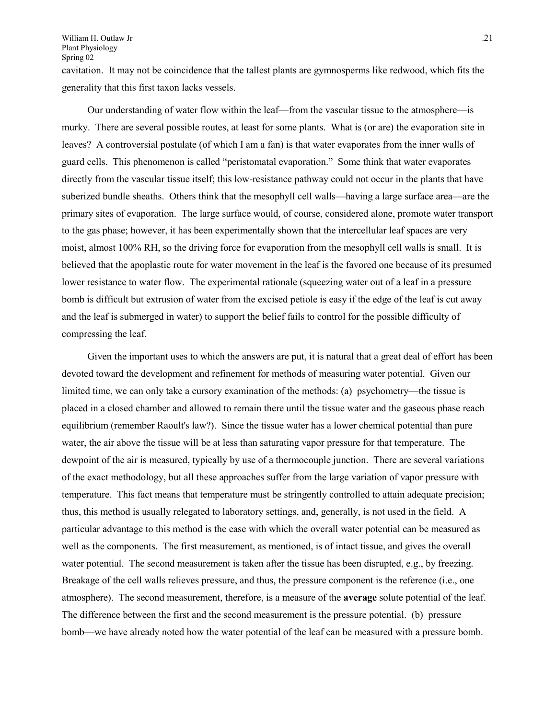cavitation. It may not be coincidence that the tallest plants are gymnosperms like redwood, which fits the generality that this first taxon lacks vessels.

Our understanding of water flow within the leaf—from the vascular tissue to the atmosphere—is murky. There are several possible routes, at least for some plants. What is (or are) the evaporation site in leaves? A controversial postulate (of which I am a fan) is that water evaporates from the inner walls of guard cells. This phenomenon is called "peristomatal evaporation." Some think that water evaporates directly from the vascular tissue itself; this low-resistance pathway could not occur in the plants that have suberized bundle sheaths. Others think that the mesophyll cell walls—having a large surface area—are the primary sites of evaporation. The large surface would, of course, considered alone, promote water transport to the gas phase; however, it has been experimentally shown that the intercellular leaf spaces are very moist, almost 100% RH, so the driving force for evaporation from the mesophyll cell walls is small. It is believed that the apoplastic route for water movement in the leaf is the favored one because of its presumed lower resistance to water flow. The experimental rationale (squeezing water out of a leaf in a pressure bomb is difficult but extrusion of water from the excised petiole is easy if the edge of the leaf is cut away and the leaf is submerged in water) to support the belief fails to control for the possible difficulty of compressing the leaf.

Given the important uses to which the answers are put, it is natural that a great deal of effort has been devoted toward the development and refinement for methods of measuring water potential. Given our limited time, we can only take a cursory examination of the methods: (a) psychometry—the tissue is placed in a closed chamber and allowed to remain there until the tissue water and the gaseous phase reach equilibrium (remember Raoult's law?). Since the tissue water has a lower chemical potential than pure water, the air above the tissue will be at less than saturating vapor pressure for that temperature. The dewpoint of the air is measured, typically by use of a thermocouple junction. There are several variations of the exact methodology, but all these approaches suffer from the large variation of vapor pressure with temperature. This fact means that temperature must be stringently controlled to attain adequate precision; thus, this method is usually relegated to laboratory settings, and, generally, is not used in the field. A particular advantage to this method is the ease with which the overall water potential can be measured as well as the components. The first measurement, as mentioned, is of intact tissue, and gives the overall water potential. The second measurement is taken after the tissue has been disrupted, e.g., by freezing. Breakage of the cell walls relieves pressure, and thus, the pressure component is the reference (i.e., one atmosphere). The second measurement, therefore, is a measure of the **average** solute potential of the leaf. The difference between the first and the second measurement is the pressure potential. (b) pressure bomb—we have already noted how the water potential of the leaf can be measured with a pressure bomb.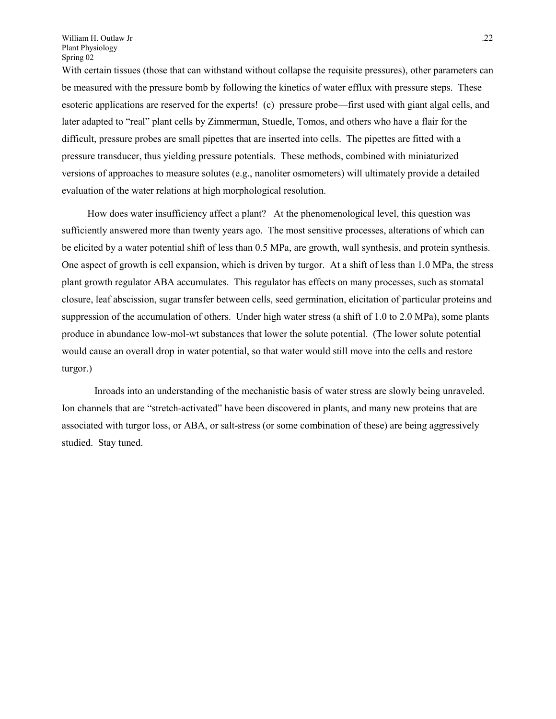With certain tissues (those that can withstand without collapse the requisite pressures), other parameters can be measured with the pressure bomb by following the kinetics of water efflux with pressure steps. These esoteric applications are reserved for the experts! (c) pressure probe—first used with giant algal cells, and later adapted to "real" plant cells by Zimmerman, Stuedle, Tomos, and others who have a flair for the difficult, pressure probes are small pipettes that are inserted into cells. The pipettes are fitted with a pressure transducer, thus yielding pressure potentials. These methods, combined with miniaturized versions of approaches to measure solutes (e.g., nanoliter osmometers) will ultimately provide a detailed evaluation of the water relations at high morphological resolution.

How does water insufficiency affect a plant? At the phenomenological level, this question was sufficiently answered more than twenty years ago. The most sensitive processes, alterations of which can be elicited by a water potential shift of less than 0.5 MPa, are growth, wall synthesis, and protein synthesis. One aspect of growth is cell expansion, which is driven by turgor. At a shift of less than 1.0 MPa, the stress plant growth regulator ABA accumulates. This regulator has effects on many processes, such as stomatal closure, leaf abscission, sugar transfer between cells, seed germination, elicitation of particular proteins and suppression of the accumulation of others. Under high water stress (a shift of 1.0 to 2.0 MPa), some plants produce in abundance low-mol-wt substances that lower the solute potential. (The lower solute potential would cause an overall drop in water potential, so that water would still move into the cells and restore turgor.)

 Inroads into an understanding of the mechanistic basis of water stress are slowly being unraveled. Ion channels that are "stretch-activated" have been discovered in plants, and many new proteins that are associated with turgor loss, or ABA, or salt-stress (or some combination of these) are being aggressively studied. Stay tuned.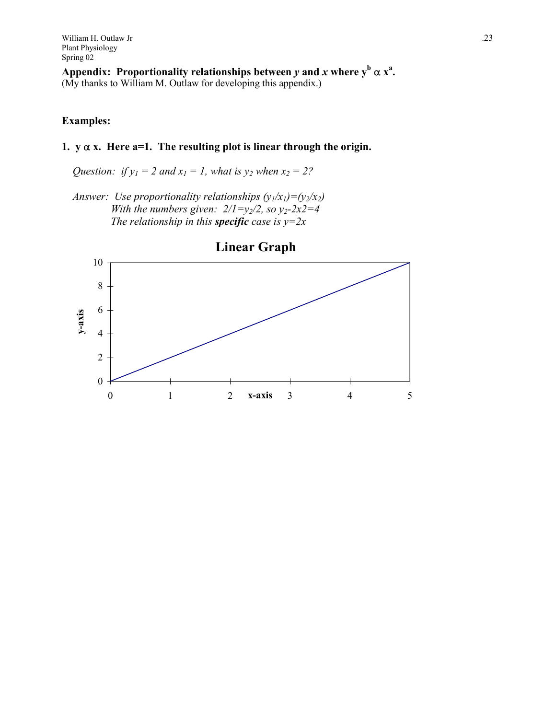William H. Outlaw Jr ... 23 Plant Physiology Spring 02

Appendix: Proportionality relationships between  $y$  and  $x$  where  $y^b \alpha x^a$ . (My thanks to William M. Outlaw for developing this appendix.)

#### **Examples:**

### 1.  $y \alpha x$ . Here  $a=1$ . The resulting plot is linear through the origin.

*Question: if*  $y_1 = 2$  *and*  $x_1 = 1$ *, what is*  $y_2$  *when*  $x_2 = 2$ ?

*Answer: Use proportionality relationships*  $(y_1/x_1)=(y_2/x_2)$ *With the numbers given:*  $2/1 = y_2/2$ *, so*  $y_2 - 2x2 = 4$ *The relationship in this specific case is*  $y=2x$ 

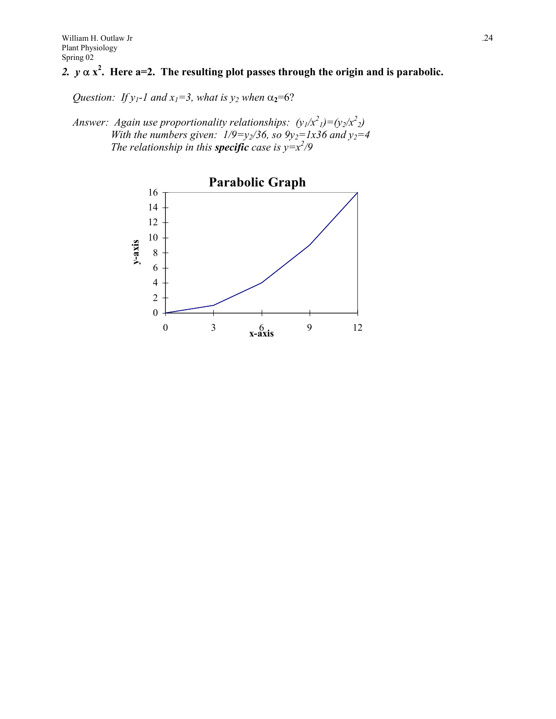# 2.  $y \alpha x^2$ . Here a=2. The resulting plot passes through the origin and is parabolic.

*Question: If y<sub>1</sub>-1 and x<sub>1</sub>=3, what is y<sub>2</sub> when*  $\alpha_2$ =6?

*Answer: Again use proportionality relationships:*  $(y_1/x^2) = (y_2/x^2)$ *With the numbers given:*  $1/9 = y_2/36$ *, so*  $9y_2 = 1x36$  *and*  $y_2 = 4$ *The relationship in this specific case is*  $y=x^2/9$ 

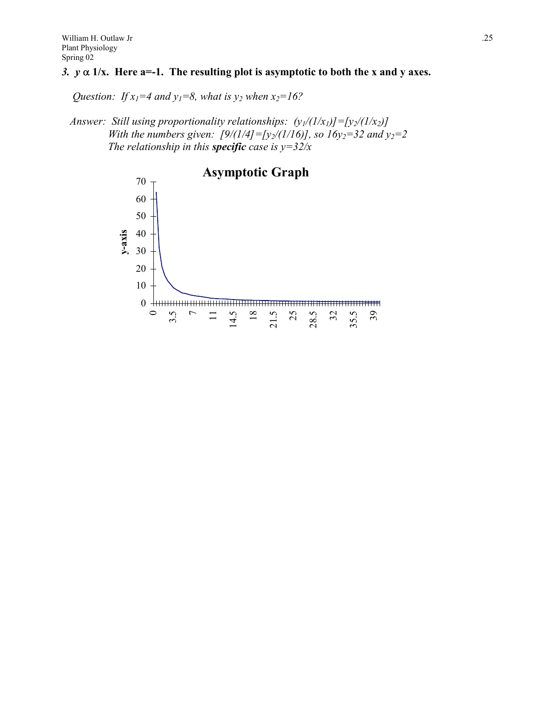## *3.*  $y \alpha$  1/x. Here a=-1. The resulting plot is asymptotic to both the x and y axes.

*Question: If*  $x_1=4$  *and*  $y_1=8$ *, what is y<sub>2</sub> when*  $x_2=16$ ?

*Answer: Still using proportionality relationships:*  $(y_1/(1/x_1)) = [y_2/(1/x_2)]$ *With the numbers given:*  $[9/(1/4)] = [y_2/(1/16)]$ , so  $16y_2 = 32$  and  $y_2 = 2$ *The relationship in this specific case is*  $y=32/x$ 

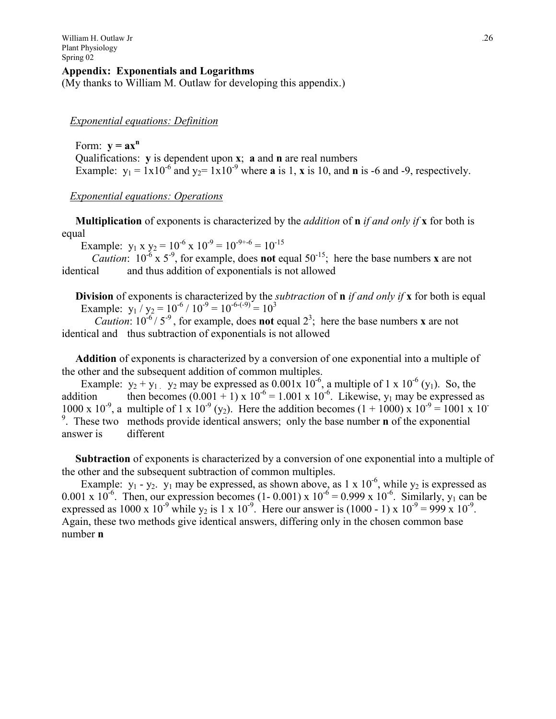#### **Appendix:****Exponentials and Logarithms**

(My thanks to William M. Outlaw for developing this appendix.)

#### *Exponential equations: Definition*

Form:  $\mathbf{v} = \mathbf{a}\mathbf{x}^n$  Qualifications: **y** is dependent upon **x**; **a** and **n** are real numbers Example:  $y_1 = 1 \times 10^{-6}$  and  $y_2 = 1 \times 10^{-9}$  where **a** is 1, **x** is 10, and **n** is -6 and -9, respectively.

#### *Exponential equations: Operations*

 **Multiplication** of exponents is characterized by the *addition* of **n** *if and only if* **x** for both is equal

Example:  $y_1 x y_2 = 10^{-6} x 10^{-9} = 10^{-9+6} = 10^{-15}$ 

*Caution*:  $10^{-6}$  x  $5^{-9}$ , for example, does **not** equal  $50^{-15}$ ; here the base numbers **x** are not identical and thus addition of exponentials is not allowed

 **Division** of exponents is characterized by the *subtraction* of **n** *if and only if* **x** for both is equal Example:  $y_1 / y_2 = 10^{-6} / 10^{-9} = 10^{-6-(9)} = 10^3$ 

*Caution*:  $10^{-6}$  /  $5^{-9}$ , for example, does **not** equal  $2^3$ ; here the base numbers **x** are not identical and thus subtraction of exponentials is not allowed

 **Addition** of exponents is characterized by a conversion of one exponential into a multiple of the other and the subsequent addition of common multiples.

Example:  $y_2 + y_1$ ,  $y_2$  may be expressed as 0.001x 10<sup>-6</sup>, a multiple of 1 x 10<sup>-6</sup> (y<sub>1</sub>). So, the addition then becomes  $(0.001 + 1) \times 10^{-6} = 1.001 \times 10^{-6}$ . Likewise, y<sub>1</sub> may be expressed as 1000 x 10<sup>-9</sup>, a multiple of 1 x 10<sup>-9</sup> (y<sub>2</sub>). Here the addition becomes (1 + 1000) x 10<sup>-9</sup> = 1001 x 10<sup>-9</sup> 9 . These two methods provide identical answers; only the base number **n** of the exponential answer is different

 **Subtraction** of exponents is characterized by a conversion of one exponential into a multiple of the other and the subsequent subtraction of common multiples.

Example:  $y_1 - y_2$ .  $y_1$  may be expressed, as shown above, as 1 x 10<sup>-6</sup>, while  $y_2$  is expressed as 0.001 x  $10^{-6}$ . Then, our expression becomes (1- 0.001) x  $10^{-6}$  = 0.999 x  $10^{-6}$ . Similarly, y<sub>1</sub> can be expressed as  $1000 \times 10^{-9}$  while y<sub>2</sub> is 1 x 10<sup>-9</sup>. Here our answer is (1000 - 1) x 10<sup>-9</sup> = 999 x 10<sup>-9</sup>. Again, these two methods give identical answers, differing only in the chosen common base number **n**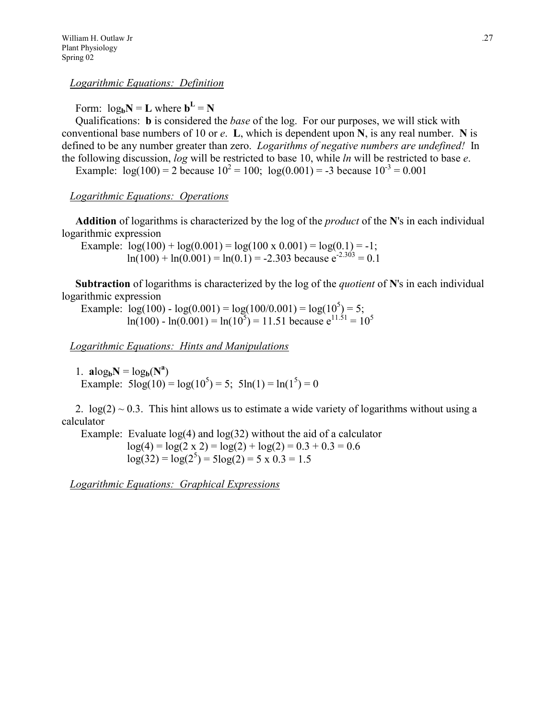*Logarithmic Equations: Definition*

Form:  $log_b N = L$  where  $b^L = N$ 

 Qualifications: **b** is considered the *base* of the log. For our purposes, we will stick with conventional base numbers of 10 or *e*. **L**, which is dependent upon **N**, is any real number. **N** is defined to be any number greater than zero. *Logarithms of negative numbers are undefined!* In the following discussion, *log* will be restricted to base 10, while *ln* will be restricted to base *e*.

Example:  $log(100) = 2$  because  $10^2 = 100$ ;  $log(0.001) = -3$  because  $10^{-3} = 0.001$ 

### *Logarithmic Equations: Operations*

 **Addition** of logarithms is characterized by the log of the *product* of the **N**'s in each individual logarithmic expression

Example:  $log(100) + log(0.001) = log(100 \times 0.001) = log(0.1) = -1$ ;  $ln(100) + ln(0.001) = ln(0.1) = -2.303$  because  $e^{-2.303} = 0.1$ 

 **Subtraction** of logarithms is characterized by the log of the *quotient* of **N**'s in each individual logarithmic expression

Example:  $\log(100) - \log(0.001) = \log(100/0.001) = \log(10^5) = 5;$  $ln(100) - ln(0.001) = ln(10^5) = 11.51$  because  $e^{11.51} = 10^5$ 

*Logarithmic Equations: Hints and Manipulations*

1.  $a\log_b N = \log_b(N^a)$ Example:  $5\log(10) = \log(10^5) = 5$ ;  $5\ln(1) = \ln(1^5) = 0$ 

2.  $log(2) \sim 0.3$ . This hint allows us to estimate a wide variety of logarithms without using a calculator

Example: Evaluate  $log(4)$  and  $log(32)$  without the aid of a calculator  $log(4) = log(2 \times 2) = log(2) + log(2) = 0.3 + 0.3 = 0.6$  $log(32) = log(2^{5}) = 5log(2) = 5 \times 0.3 = 1.5$ 

*Logarithmic Equations: Graphical Expressions*